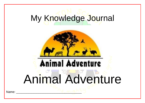## My Knowledge Journal



## Animal Adventure

Name: \_\_\_\_\_\_\_\_\_\_\_\_\_\_\_\_\_\_\_\_\_\_\_\_\_\_\_\_\_\_\_\_\_\_\_\_\_\_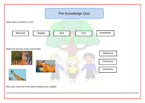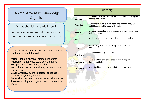## Animal Adventure Knowledge **Organiser**

## What should I already know?

l

I can identify common animals such as sheep and cows. I have identified some animal features - paw, beak, tail etc

I can talk about different animals that live in all 7 continents around the world:

**Africa-** Lions, elephants, giraffes, meercats **Australia-** Kangaroos, koala bears, snakes **Europe-** Deer, foxes, badgers, bats **North America-** mountain lions, raccoons, brown bears, moose, **South America-** Giant Tortoises, anacondas

(snake), capybaras, piranhas

**Antarctica-** penguins, whales, seals, albatrosses **Asia-** Asian elephants, giant pandas, macaques, tigers

| Glossary         |                                                                                                   |
|------------------|---------------------------------------------------------------------------------------------------|
| <b>Mammal</b>    | A mammal is warm blooded and has fur or hair. They give<br>b <mark>irth to their</mark> young.    |
| Amphibian        | Amphibians can live in the water and on land. They are<br>cold blooded and lay eggs in the water. |
| <b>Reptile</b>   | A reptile has scales, is cold blooded and lays eggs on land<br>to hatch young.                    |
| <b>Bird</b>      | A bird has feathers, a beak and lays eggs to hatch young.                                         |
| <b>Fish</b>      | Fish have gills and scales. They live and breathe<br>underwater.                                  |
| <b>Carnivore</b> | An animal that only eats meat.                                                                    |
| <b>Herbivore</b> | An animal that only eats vegetation such as plants, seeds,<br>berries and bulbs.                  |
| <b>Omnivore</b>  | An animal that eats anything, both meat and plants.                                               |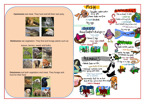**Carnivores** eat meat. They hunt and kill their own prey.



 **Herbivores** eat vegetation. They find and forage plants such as

leaves, berries, seeds and bulbs.



**Omnivores** eat both vegetation and meat. They forage and hunt for their food.